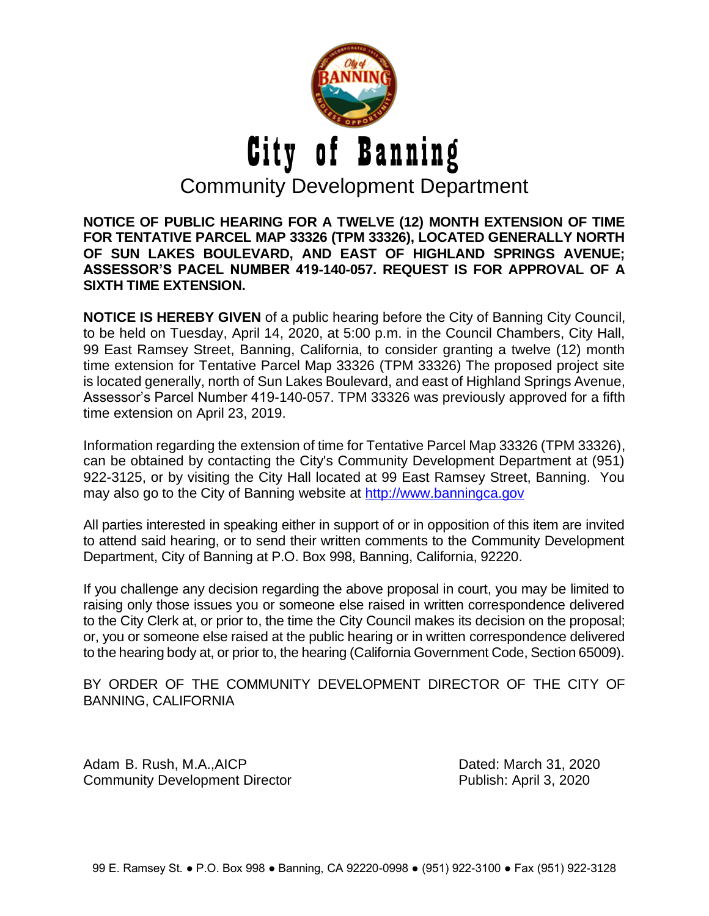

**NOTICE OF PUBLIC HEARING FOR A TWELVE (12) MONTH EXTENSION OF TIME FOR TENTATIVE PARCEL MAP 33326 (TPM 33326), LOCATED GENERALLY NORTH OF SUN LAKES BOULEVARD, AND EAST OF HIGHLAND SPRINGS AVENUE; ASSESSOR'S PACEL NUMBER 419-140-057. REQUEST IS FOR APPROVAL OF A SIXTH TIME EXTENSION.**

**NOTICE IS HEREBY GIVEN** of a public hearing before the City of Banning City Council, to be held on Tuesday, April 14, 2020, at 5:00 p.m. in the Council Chambers, City Hall, 99 East Ramsey Street, Banning, California, to consider granting a twelve (12) month time extension for Tentative Parcel Map 33326 (TPM 33326) The proposed project site is located generally, north of Sun Lakes Boulevard, and east of Highland Springs Avenue, Assessor's Parcel Number 419-140-057. TPM 33326 was previously approved for a fifth time extension on April 23, 2019.

Information regarding the extension of time for Tentative Parcel Map 33326 (TPM 33326), can be obtained by contacting the City's Community Development Department at (951) 922-3125, or by visiting the City Hall located at 99 East Ramsey Street, Banning. You may also go to the City of Banning website at [http://www.banningca.gov](http://www.banningca.gov/)

All parties interested in speaking either in support of or in opposition of this item are invited to attend said hearing, or to send their written comments to the Community Development Department, City of Banning at P.O. Box 998, Banning, California, 92220.

If you challenge any decision regarding the above proposal in court, you may be limited to raising only those issues you or someone else raised in written correspondence delivered to the City Clerk at, or prior to, the time the City Council makes its decision on the proposal; or, you or someone else raised at the public hearing or in written correspondence delivered to the hearing body at, or prior to, the hearing (California Government Code, Section 65009).

BY ORDER OF THE COMMUNITY DEVELOPMENT DIRECTOR OF THE CITY OF BANNING, CALIFORNIA

Adam B. Rush, M.A., AICP **Dated: March 31, 2020** Community Development Director **Publish: April 3, 2020**